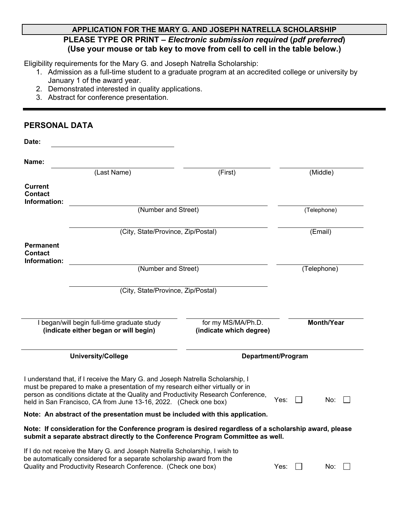# **APPLICATION FOR THE MARY G. AND JOSEPH NATRELLA SCHOLARSHIP PLEASE TYPE OR PRINT –** *Electronic submission required* **(***pdf preferred***) (Use your mouse or tab key to move from cell to cell in the table below.)**

Eligibility requirements for the Mary G. and Joseph Natrella Scholarship:

- 1. Admission as a full-time student to a graduate program at an accredited college or university by January 1 of the award year.
- 2. Demonstrated interested in quality applications.
- 3. Abstract for conference presentation.

# **PERSONAL DATA**

| Date:                                              |                                                                                                                                                                                                                                                                                                                          |                                               |                   |  |
|----------------------------------------------------|--------------------------------------------------------------------------------------------------------------------------------------------------------------------------------------------------------------------------------------------------------------------------------------------------------------------------|-----------------------------------------------|-------------------|--|
| Name:                                              |                                                                                                                                                                                                                                                                                                                          |                                               |                   |  |
|                                                    | (Last Name)                                                                                                                                                                                                                                                                                                              | (First)                                       | (Middle)          |  |
| <b>Current</b><br>Contact<br>Information:          |                                                                                                                                                                                                                                                                                                                          |                                               |                   |  |
|                                                    | (Number and Street)                                                                                                                                                                                                                                                                                                      | (Telephone)                                   |                   |  |
|                                                    | (City, State/Province, Zip/Postal)                                                                                                                                                                                                                                                                                       |                                               | (Email)           |  |
| <b>Permanent</b><br><b>Contact</b><br>Information: |                                                                                                                                                                                                                                                                                                                          |                                               |                   |  |
| (Number and Street)                                |                                                                                                                                                                                                                                                                                                                          |                                               | (Telephone)       |  |
|                                                    | (City, State/Province, Zip/Postal)                                                                                                                                                                                                                                                                                       |                                               |                   |  |
|                                                    | I began/will begin full-time graduate study<br>(indicate either began or will begin)                                                                                                                                                                                                                                     | for my MS/MA/Ph.D.<br>(indicate which degree) | <b>Month/Year</b> |  |
|                                                    | <b>University/College</b>                                                                                                                                                                                                                                                                                                | Department/Program                            |                   |  |
|                                                    | I understand that, if I receive the Mary G. and Joseph Natrella Scholarship, I<br>must be prepared to make a presentation of my research either virtually or in<br>person as conditions dictate at the Quality and Productivity Research Conference,<br>held in San Francisco, CA from June 13-16, 2022. (Check one box) |                                               | Yes:<br>No:       |  |
|                                                    | Note: An abstract of the presentation must be included with this application.                                                                                                                                                                                                                                            |                                               |                   |  |
|                                                    | Note: If consideration for the Conference program is desired regardless of a scholarship award, please<br>submit a separate abstract directly to the Conference Program Committee as well.                                                                                                                               |                                               |                   |  |
|                                                    | If I do not receive the Mary G. and Joseph Natrella Scholarship, I wish to<br>be automatically considered for a separate scholarship award from the<br>Quality and Productivity Research Conference. (Check one box)                                                                                                     |                                               | Yes:<br>No:       |  |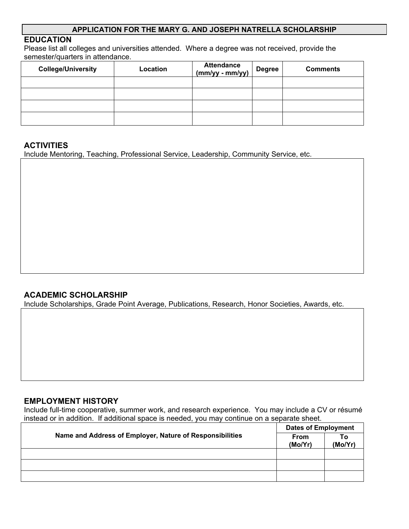#### **APPLICATION FOR THE MARY G. AND JOSEPH NATRELLA SCHOLARSHIP**

### **EDUCATION**

Please list all colleges and universities attended. Where a degree was not received, provide the semester/quarters in attendance.

| <b>College/University</b> | Location | Attendance<br>(mm/yy - mm/yy) | <b>Degree</b> | <b>Comments</b> |
|---------------------------|----------|-------------------------------|---------------|-----------------|
|                           |          |                               |               |                 |
|                           |          |                               |               |                 |
|                           |          |                               |               |                 |
|                           |          |                               |               |                 |

#### **ACTIVITIES**

Include Mentoring, Teaching, Professional Service, Leadership, Community Service, etc.

### **ACADEMIC SCHOLARSHIP**

Include Scholarships, Grade Point Average, Publications, Research, Honor Societies, Awards, etc.

#### **EMPLOYMENT HISTORY**

Include full-time cooperative, summer work, and research experience. You may include a CV or résumé instead or in addition. If additional space is needed, you may continue on a separate sheet.

|                                                          | <b>Dates of Employment</b> |               |
|----------------------------------------------------------|----------------------------|---------------|
| Name and Address of Employer, Nature of Responsibilities | <b>From</b><br>(Mo/Yr)     | Τo<br>(Mo/Yr) |
|                                                          |                            |               |
|                                                          |                            |               |
|                                                          |                            |               |